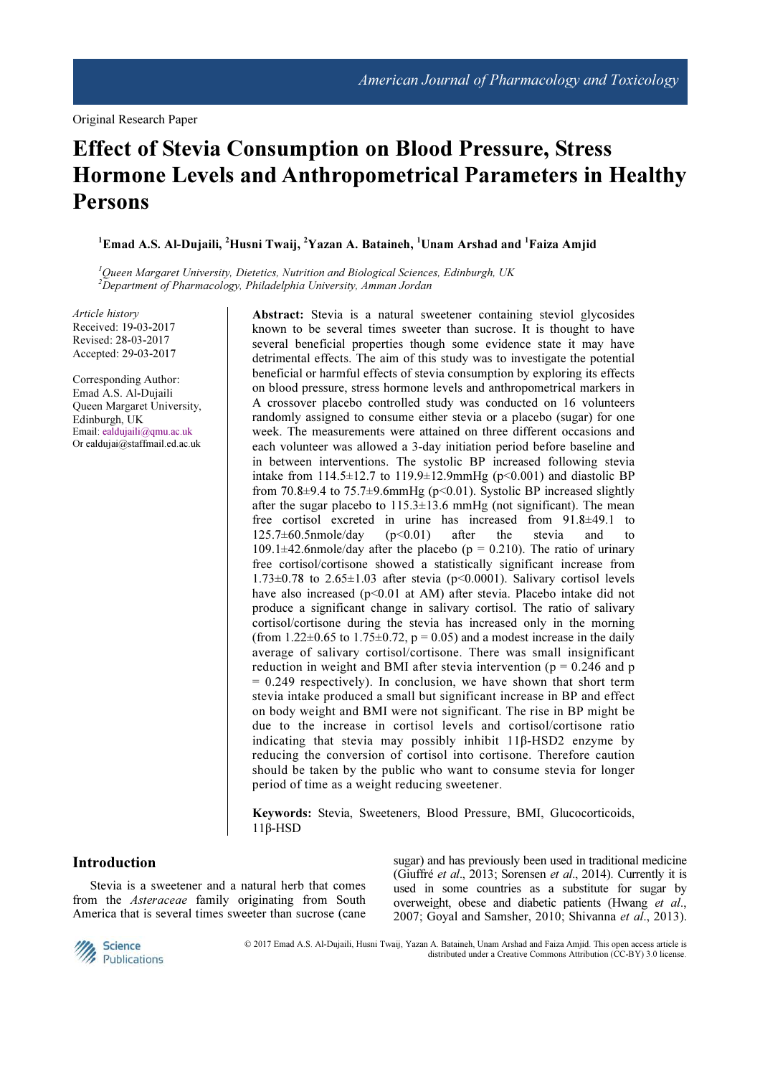# Effect of Stevia Consumption on Blood Pressure, Stress Hormone Levels and Anthropometrical Parameters in Healthy Persons

<sup>1</sup>Emad A.S. Al-Dujaili, <sup>2</sup>Husni Twaij, <sup>2</sup>Yazan A. Bataineh, <sup>1</sup>Unam Arshad and <sup>1</sup>Faiza Amjid

 $1$ Oueen Margaret University, Dietetics, Nutrition and Biological Sciences, Edinburgh, UK  ${}^{2}$ Department of Pharmacology, Philadelphia University, Amman Jordan

Article history Received: 19-03-2017 Revised: 28-03-2017 Accepted: 29-03-2017

Corresponding Author: Emad A.S. Al-Dujaili Queen Margaret University, Edinburgh, UK Email: ealdujaili@qmu.ac.uk Or ealdujai@staffmail.ed.ac.uk

Abstract: Stevia is a natural sweetener containing steviol glycosides known to be several times sweeter than sucrose. It is thought to have several beneficial properties though some evidence state it may have detrimental effects. The aim of this study was to investigate the potential beneficial or harmful effects of stevia consumption by exploring its effects on blood pressure, stress hormone levels and anthropometrical markers in A crossover placebo controlled study was conducted on 16 volunteers randomly assigned to consume either stevia or a placebo (sugar) for one week. The measurements were attained on three different occasions and each volunteer was allowed a 3-day initiation period before baseline and in between interventions. The systolic BP increased following stevia intake from 114.5 $\pm$ 12.7 to 119.9 $\pm$ 12.9mmHg (p<0.001) and diastolic BP from 70.8 $\pm$ 9.4 to 75.7 $\pm$ 9.6mmHg (p<0.01). Systolic BP increased slightly after the sugar placebo to  $115.3 \pm 13.6$  mmHg (not significant). The mean free cortisol excreted in urine has increased from 91.8±49.1 to  $125.7\pm60.5$ nmole/day (p<0.01) after the stevia and to 109.1 $\pm$ 42.6nmole/day after the placebo (p = 0.210). The ratio of urinary free cortisol/cortisone showed a statistically significant increase from  $1.73\pm0.78$  to  $2.65\pm1.03$  after stevia (p<0.0001). Salivary cortisol levels have also increased (p<0.01 at AM) after stevia. Placebo intake did not produce a significant change in salivary cortisol. The ratio of salivary cortisol/cortisone during the stevia has increased only in the morning (from 1.22 $\pm$ 0.65 to 1.75 $\pm$ 0.72, p = 0.05) and a modest increase in the daily average of salivary cortisol/cortisone. There was small insignificant reduction in weight and BMI after stevia intervention ( $p = 0.246$  and p  $= 0.249$  respectively). In conclusion, we have shown that short term stevia intake produced a small but significant increase in BP and effect on body weight and BMI were not significant. The rise in BP might be due to the increase in cortisol levels and cortisol/cortisone ratio indicating that stevia may possibly inhibit 11β-HSD2 enzyme by reducing the conversion of cortisol into cortisone. Therefore caution should be taken by the public who want to consume stevia for longer period of time as a weight reducing sweetener.

Keywords: Stevia, Sweeteners, Blood Pressure, BMI, Glucocorticoids, 11β-HSD

# Introduction

Stevia is a sweetener and a natural herb that comes from the Asteraceae family originating from South America that is several times sweeter than sucrose (cane sugar) and has previously been used in traditional medicine (Giuffré et al., 2013; Sorensen et al., 2014). Currently it is used in some countries as a substitute for sugar by overweight, obese and diabetic patients (Hwang et al., 2007; Goyal and Samsher, 2010; Shivanna et al., 2013).



© 2017 Emad A.S. Al-Dujaili, Husni Twaij, Yazan A. Bataineh, Unam Arshad and Faiza Amjid. This open access article is distributed under a Creative Commons Attribution (CC-BY) 3.0 license.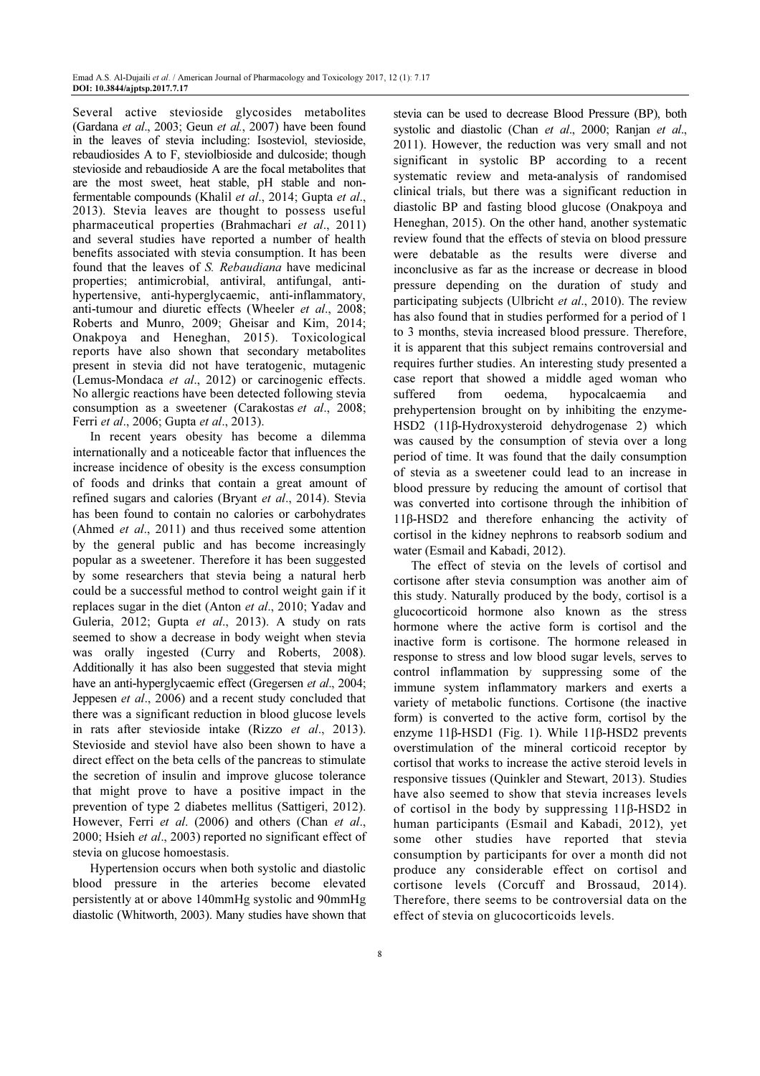Several active stevioside glycosides metabolites (Gardana et al., 2003; Geun et al., 2007) have been found in the leaves of stevia including: Isosteviol, stevioside, rebaudiosides A to F, steviolbioside and dulcoside; though stevioside and rebaudioside A are the focal metabolites that are the most sweet, heat stable, pH stable and nonfermentable compounds (Khalil et al., 2014; Gupta et al., 2013). Stevia leaves are thought to possess useful pharmaceutical properties (Brahmachari et al., 2011) and several studies have reported a number of health benefits associated with stevia consumption. It has been found that the leaves of S. Rebaudiana have medicinal properties; antimicrobial, antiviral, antifungal, antihypertensive, anti-hyperglycaemic, anti-inflammatory, anti-tumour and diuretic effects (Wheeler et al., 2008; Roberts and Munro, 2009; Gheisar and Kim, 2014; Onakpoya and Heneghan, 2015). Toxicological reports have also shown that secondary metabolites present in stevia did not have teratogenic, mutagenic (Lemus-Mondaca et al., 2012) or carcinogenic effects. No allergic reactions have been detected following stevia consumption as a sweetener (Carakostas et al., 2008; Ferri *et al.*, 2006; Gupta *et al.*, 2013).

In recent years obesity has become a dilemma internationally and a noticeable factor that influences the increase incidence of obesity is the excess consumption of foods and drinks that contain a great amount of refined sugars and calories (Bryant et al., 2014). Stevia has been found to contain no calories or carbohydrates (Ahmed et al., 2011) and thus received some attention by the general public and has become increasingly popular as a sweetener. Therefore it has been suggested by some researchers that stevia being a natural herb could be a successful method to control weight gain if it replaces sugar in the diet (Anton et al., 2010; Yadav and Guleria, 2012; Gupta et al., 2013). A study on rats seemed to show a decrease in body weight when stevia was orally ingested (Curry and Roberts, 2008). Additionally it has also been suggested that stevia might have an anti-hyperglycaemic effect (Gregersen et al., 2004; Jeppesen et al., 2006) and a recent study concluded that there was a significant reduction in blood glucose levels in rats after stevioside intake (Rizzo et al., 2013). Stevioside and steviol have also been shown to have a direct effect on the beta cells of the pancreas to stimulate the secretion of insulin and improve glucose tolerance that might prove to have a positive impact in the prevention of type 2 diabetes mellitus (Sattigeri, 2012). However, Ferri et al. (2006) and others (Chan et al., 2000; Hsieh et al., 2003) reported no significant effect of stevia on glucose homoestasis.

Hypertension occurs when both systolic and diastolic blood pressure in the arteries become elevated persistently at or above 140mmHg systolic and 90mmHg diastolic (Whitworth, 2003). Many studies have shown that

stevia can be used to decrease Blood Pressure (BP), both systolic and diastolic (Chan et al., 2000; Ranjan et al., 2011). However, the reduction was very small and not significant in systolic BP according to a recent systematic review and meta-analysis of randomised clinical trials, but there was a significant reduction in diastolic BP and fasting blood glucose (Onakpoya and Heneghan, 2015). On the other hand, another systematic review found that the effects of stevia on blood pressure were debatable as the results were diverse and inconclusive as far as the increase or decrease in blood pressure depending on the duration of study and participating subjects (Ulbricht et al., 2010). The review has also found that in studies performed for a period of 1 to 3 months, stevia increased blood pressure. Therefore, it is apparent that this subject remains controversial and requires further studies. An interesting study presented a case report that showed a middle aged woman who suffered from oedema, hypocalcaemia and prehypertension brought on by inhibiting the enzyme-HSD2 (11β-Hydroxysteroid dehydrogenase 2) which was caused by the consumption of stevia over a long period of time. It was found that the daily consumption of stevia as a sweetener could lead to an increase in blood pressure by reducing the amount of cortisol that was converted into cortisone through the inhibition of 11β-HSD2 and therefore enhancing the activity of cortisol in the kidney nephrons to reabsorb sodium and water (Esmail and Kabadi, 2012).

The effect of stevia on the levels of cortisol and cortisone after stevia consumption was another aim of this study. Naturally produced by the body, cortisol is a glucocorticoid hormone also known as the stress hormone where the active form is cortisol and the inactive form is cortisone. The hormone released in response to stress and low blood sugar levels, serves to control inflammation by suppressing some of the immune system inflammatory markers and exerts a variety of metabolic functions. Cortisone (the inactive form) is converted to the active form, cortisol by the enzyme 11β-HSD1 (Fig. 1). While 11β-HSD2 prevents overstimulation of the mineral corticoid receptor by cortisol that works to increase the active steroid levels in responsive tissues (Quinkler and Stewart, 2013). Studies have also seemed to show that stevia increases levels of cortisol in the body by suppressing 11β-HSD2 in human participants (Esmail and Kabadi, 2012), yet some other studies have reported that stevia consumption by participants for over a month did not produce any considerable effect on cortisol and cortisone levels (Corcuff and Brossaud, 2014). Therefore, there seems to be controversial data on the effect of stevia on glucocorticoids levels.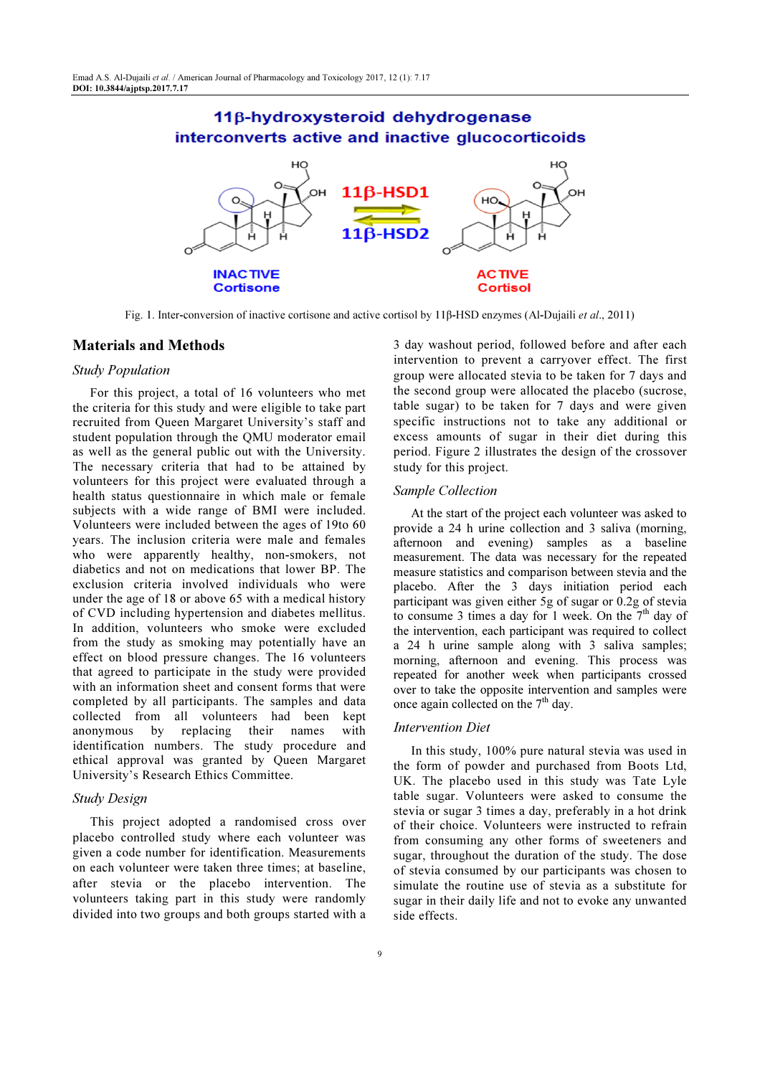

# 11β-hydroxysteroid dehydrogenase

Fig. 1. Inter-conversion of inactive cortisone and active cortisol by 11β-HSD enzymes (Al-Dujaili et al., 2011)

# Materials and Methods

#### Study Population

For this project, a total of 16 volunteers who met the criteria for this study and were eligible to take part recruited from Queen Margaret University's staff and student population through the QMU moderator email as well as the general public out with the University. The necessary criteria that had to be attained by volunteers for this project were evaluated through a health status questionnaire in which male or female subjects with a wide range of BMI were included. Volunteers were included between the ages of 19to 60 years. The inclusion criteria were male and females who were apparently healthy, non-smokers, not diabetics and not on medications that lower BP. The exclusion criteria involved individuals who were under the age of 18 or above 65 with a medical history of CVD including hypertension and diabetes mellitus. In addition, volunteers who smoke were excluded from the study as smoking may potentially have an effect on blood pressure changes. The 16 volunteers that agreed to participate in the study were provided with an information sheet and consent forms that were completed by all participants. The samples and data collected from all volunteers had been kept anonymous by replacing their names with identification numbers. The study procedure and ethical approval was granted by Queen Margaret University's Research Ethics Committee.

#### Study Design

This project adopted a randomised cross over placebo controlled study where each volunteer was given a code number for identification. Measurements on each volunteer were taken three times; at baseline, after stevia or the placebo intervention. The volunteers taking part in this study were randomly divided into two groups and both groups started with a 3 day washout period, followed before and after each intervention to prevent a carryover effect. The first group were allocated stevia to be taken for 7 days and the second group were allocated the placebo (sucrose, table sugar) to be taken for 7 days and were given specific instructions not to take any additional or excess amounts of sugar in their diet during this period. Figure 2 illustrates the design of the crossover study for this project.

#### Sample Collection

At the start of the project each volunteer was asked to provide a 24 h urine collection and 3 saliva (morning, afternoon and evening) samples as a baseline measurement. The data was necessary for the repeated measure statistics and comparison between stevia and the placebo. After the 3 days initiation period each participant was given either 5g of sugar or 0.2g of stevia to consume 3 times a day for 1 week. On the  $7<sup>th</sup>$  day of the intervention, each participant was required to collect a 24 h urine sample along with 3 saliva samples; morning, afternoon and evening. This process was repeated for another week when participants crossed over to take the opposite intervention and samples were once again collected on the  $7<sup>th</sup>$  day.

#### Intervention Diet

In this study, 100% pure natural stevia was used in the form of powder and purchased from Boots Ltd, UK. The placebo used in this study was Tate Lyle table sugar. Volunteers were asked to consume the stevia or sugar 3 times a day, preferably in a hot drink of their choice. Volunteers were instructed to refrain from consuming any other forms of sweeteners and sugar, throughout the duration of the study. The dose of stevia consumed by our participants was chosen to simulate the routine use of stevia as a substitute for sugar in their daily life and not to evoke any unwanted side effects.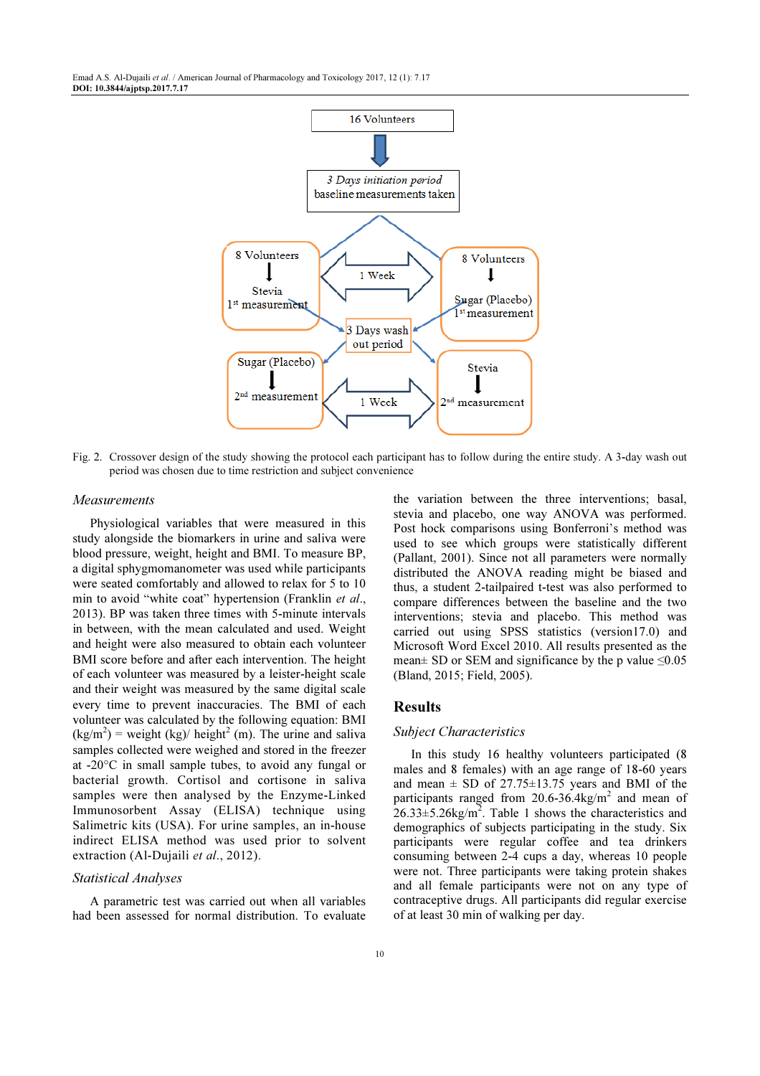Emad A.S. Al-Dujaili et al. / American Journal of Pharmacology and Toxicology 2017, 12 (1): 7.17 DOI: 10.3844/ajptsp.2017.7.17



Fig. 2. Crossover design of the study showing the protocol each participant has to follow during the entire study. A 3-day wash out period was chosen due to time restriction and subject convenience

#### Measurements

Physiological variables that were measured in this study alongside the biomarkers in urine and saliva were blood pressure, weight, height and BMI. To measure BP, a digital sphygmomanometer was used while participants were seated comfortably and allowed to relax for 5 to 10 min to avoid "white coat" hypertension (Franklin et al., 2013). BP was taken three times with 5-minute intervals in between, with the mean calculated and used. Weight and height were also measured to obtain each volunteer BMI score before and after each intervention. The height of each volunteer was measured by a leister-height scale and their weight was measured by the same digital scale every time to prevent inaccuracies. The BMI of each volunteer was calculated by the following equation: BMI  $(kg/m<sup>2</sup>)$  = weight  $(kg)/$  height<sup>2</sup> (m). The urine and saliva samples collected were weighed and stored in the freezer at -20°C in small sample tubes, to avoid any fungal or bacterial growth. Cortisol and cortisone in saliva samples were then analysed by the Enzyme-Linked Immunosorbent Assay (ELISA) technique using Salimetric kits (USA). For urine samples, an in-house indirect ELISA method was used prior to solvent extraction (Al-Dujaili et al., 2012).

#### Statistical Analyses

A parametric test was carried out when all variables had been assessed for normal distribution. To evaluate the variation between the three interventions; basal, stevia and placebo, one way ANOVA was performed. Post hock comparisons using Bonferroni's method was used to see which groups were statistically different (Pallant, 2001). Since not all parameters were normally distributed the ANOVA reading might be biased and thus, a student 2-tailpaired t-test was also performed to compare differences between the baseline and the two interventions; stevia and placebo. This method was carried out using SPSS statistics (version17.0) and Microsoft Word Excel 2010. All results presented as the mean $\pm$  SD or SEM and significance by the p value  $\leq 0.05$ (Bland, 2015; Field, 2005).

# **Results**

#### Subject Characteristics

In this study 16 healthy volunteers participated (8 males and 8 females) with an age range of 18-60 years and mean  $\pm$  SD of 27.75 $\pm$ 13.75 years and BMI of the participants ranged from  $20.6 - 36.4$ kg/m<sup>2</sup> and mean of  $26.33\pm5.26$ kg/m<sup>2</sup>. Table 1 shows the characteristics and demographics of subjects participating in the study. Six participants were regular coffee and tea drinkers consuming between 2-4 cups a day, whereas 10 people were not. Three participants were taking protein shakes and all female participants were not on any type of contraceptive drugs. All participants did regular exercise of at least 30 min of walking per day.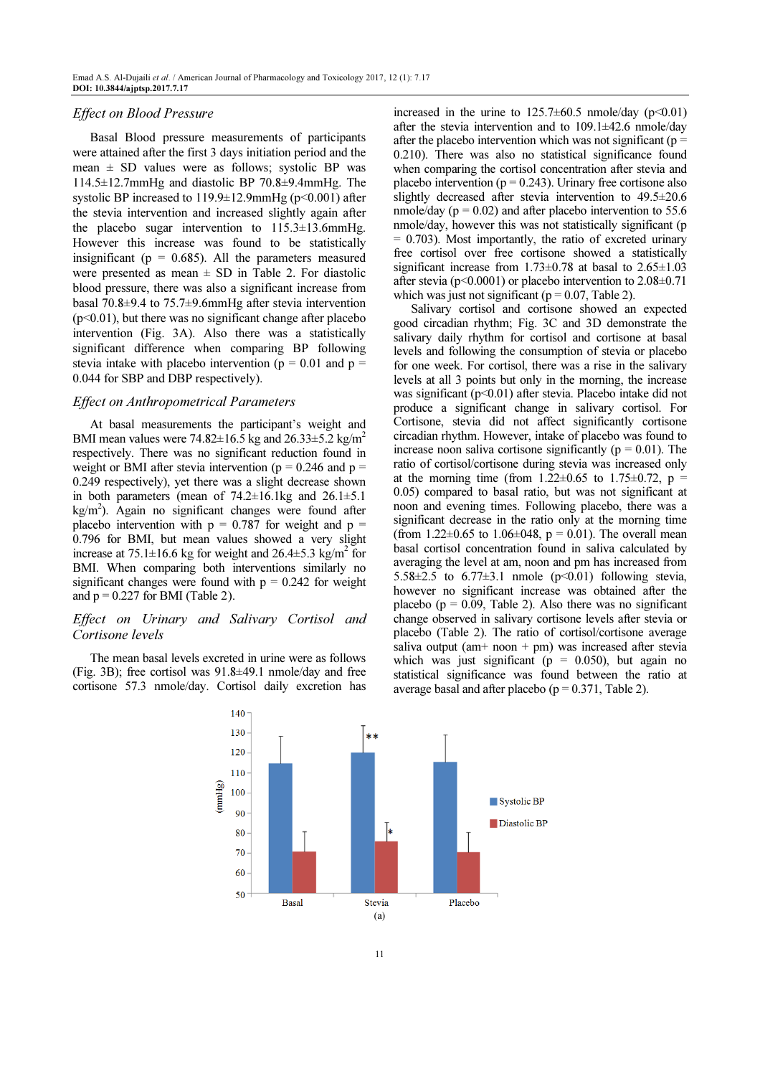#### Effect on Blood Pressure

Basal Blood pressure measurements of participants were attained after the first 3 days initiation period and the mean  $\pm$  SD values were as follows; systolic BP was 114.5±12.7mmHg and diastolic BP 70.8±9.4mmHg. The systolic BP increased to  $119.9 \pm 12.9$ mmHg (p<0.001) after the stevia intervention and increased slightly again after the placebo sugar intervention to 115.3±13.6mmHg. However this increase was found to be statistically insignificant ( $p = 0.685$ ). All the parameters measured were presented as mean  $\pm$  SD in Table 2. For diastolic blood pressure, there was also a significant increase from basal 70.8±9.4 to 75.7±9.6mmHg after stevia intervention  $(p<0.01)$ , but there was no significant change after placebo intervention (Fig. 3A). Also there was a statistically significant difference when comparing BP following stevia intake with placebo intervention ( $p = 0.01$  and  $p =$ 0.044 for SBP and DBP respectively).

#### Effect on Anthropometrical Parameters

At basal measurements the participant's weight and BMI mean values were  $74.82 \pm 16.5$  kg and  $26.33 \pm 5.2$  kg/m<sup>2</sup> respectively. There was no significant reduction found in weight or BMI after stevia intervention ( $p = 0.246$  and  $p =$ 0.249 respectively), yet there was a slight decrease shown in both parameters (mean of 74.2±16.1kg and 26.1±5.1 kg/m<sup>2</sup> ). Again no significant changes were found after placebo intervention with  $p = 0.787$  for weight and  $p =$ 0.796 for BMI, but mean values showed a very slight increase at 75.1 $\pm$ 16.6 kg for weight and 26.4 $\pm$ 5.3 kg/m<sup>2</sup> for BMI. When comparing both interventions similarly no significant changes were found with  $p = 0.242$  for weight and  $p = 0.227$  for BMI (Table 2).

# Effect on Urinary and Salivary Cortisol and Cortisone levels

The mean basal levels excreted in urine were as follows (Fig. 3B); free cortisol was 91.8±49.1 nmole/day and free cortisone 57.3 nmole/day. Cortisol daily excretion has increased in the urine to  $125.7\pm60.5$  nmole/day (p<0.01) after the stevia intervention and to 109.1±42.6 nmole/day after the placebo intervention which was not significant ( $p =$ 0.210). There was also no statistical significance found when comparing the cortisol concentration after stevia and placebo intervention ( $p = 0.243$ ). Urinary free cortisone also slightly decreased after stevia intervention to 49.5±20.6 nmole/day ( $p = 0.02$ ) and after placebo intervention to 55.6 nmole/day, however this was not statistically significant (p  $= 0.703$ ). Most importantly, the ratio of excreted urinary free cortisol over free cortisone showed a statistically significant increase from  $1.73 \pm 0.78$  at basal to  $2.65 \pm 1.03$ after stevia ( $p<0.0001$ ) or placebo intervention to  $2.08\pm0.71$ which was just not significant ( $p = 0.07$ , Table 2).

Salivary cortisol and cortisone showed an expected good circadian rhythm; Fig. 3C and 3D demonstrate the salivary daily rhythm for cortisol and cortisone at basal levels and following the consumption of stevia or placebo for one week. For cortisol, there was a rise in the salivary levels at all 3 points but only in the morning, the increase was significant  $(p<0.01)$  after stevia. Placebo intake did not produce a significant change in salivary cortisol. For Cortisone, stevia did not affect significantly cortisone circadian rhythm. However, intake of placebo was found to increase noon saliva cortisone significantly ( $p = 0.01$ ). The ratio of cortisol/cortisone during stevia was increased only at the morning time (from  $1.22 \pm 0.65$  to  $1.75 \pm 0.72$ , p = 0.05) compared to basal ratio, but was not significant at noon and evening times. Following placebo, there was a significant decrease in the ratio only at the morning time (from 1.22 $\pm$ 0.65 to 1.06 $\pm$ 048, p = 0.01). The overall mean basal cortisol concentration found in saliva calculated by averaging the level at am, noon and pm has increased from 5.58 $\pm$ 2.5 to 6.77 $\pm$ 3.1 nmole (p<0.01) following stevia, however no significant increase was obtained after the placebo ( $p = 0.09$ , Table 2). Also there was no significant change observed in salivary cortisone levels after stevia or placebo (Table 2). The ratio of cortisol/cortisone average saliva output (am+ noon + pm) was increased after stevia which was just significant ( $p = 0.050$ ), but again no statistical significance was found between the ratio at average basal and after placebo ( $p = 0.371$ , Table 2).

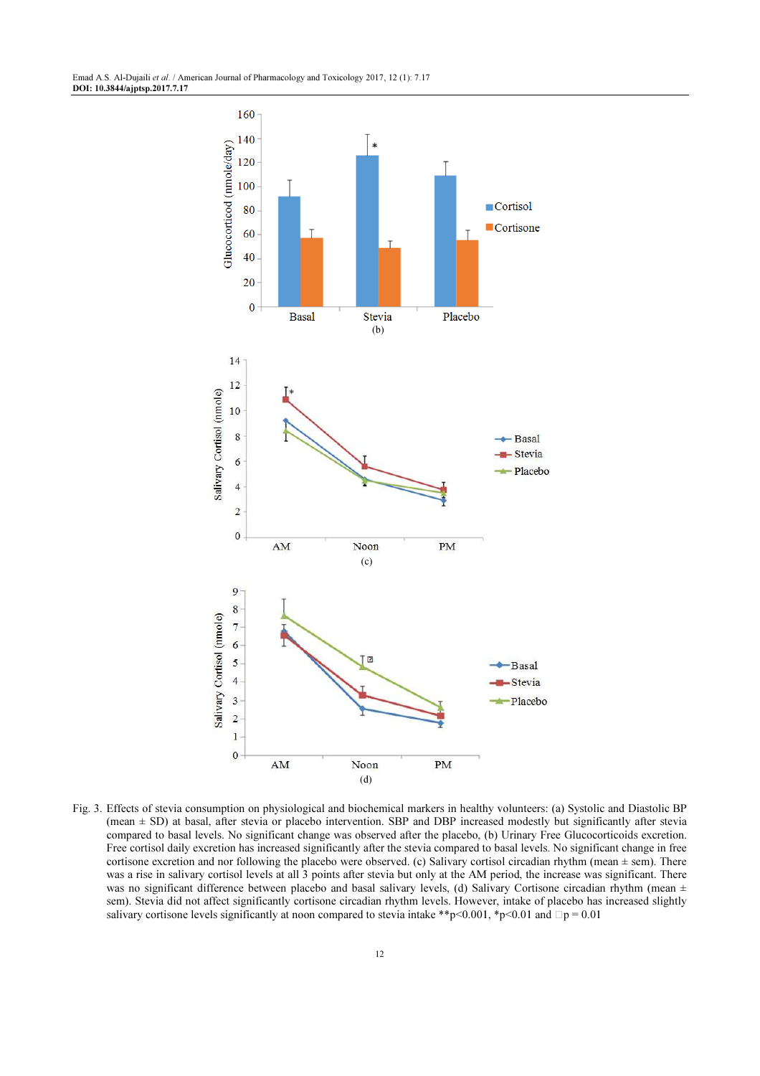

Fig. 3. Effects of stevia consumption on physiological and biochemical markers in healthy volunteers: (a) Systolic and Diastolic BP (mean ± SD) at basal, after stevia or placebo intervention. SBP and DBP increased modestly but significantly after stevia compared to basal levels. No significant change was observed after the placebo, (b) Urinary Free Glucocorticoids excretion. Free cortisol daily excretion has increased significantly after the stevia compared to basal levels. No significant change in free cortisone excretion and nor following the placebo were observed. (c) Salivary cortisol circadian rhythm (mean  $\pm$  sem). There was a rise in salivary cortisol levels at all 3 points after stevia but only at the AM period, the increase was significant. There was no significant difference between placebo and basal salivary levels, (d) Salivary Cortisone circadian rhythm (mean  $\pm$ sem). Stevia did not affect significantly cortisone circadian rhythm levels. However, intake of placebo has increased slightly salivary cortisone levels significantly at noon compared to stevia intake \*\*p<0.001, \*p<0.01 and  $\Box p = 0.01$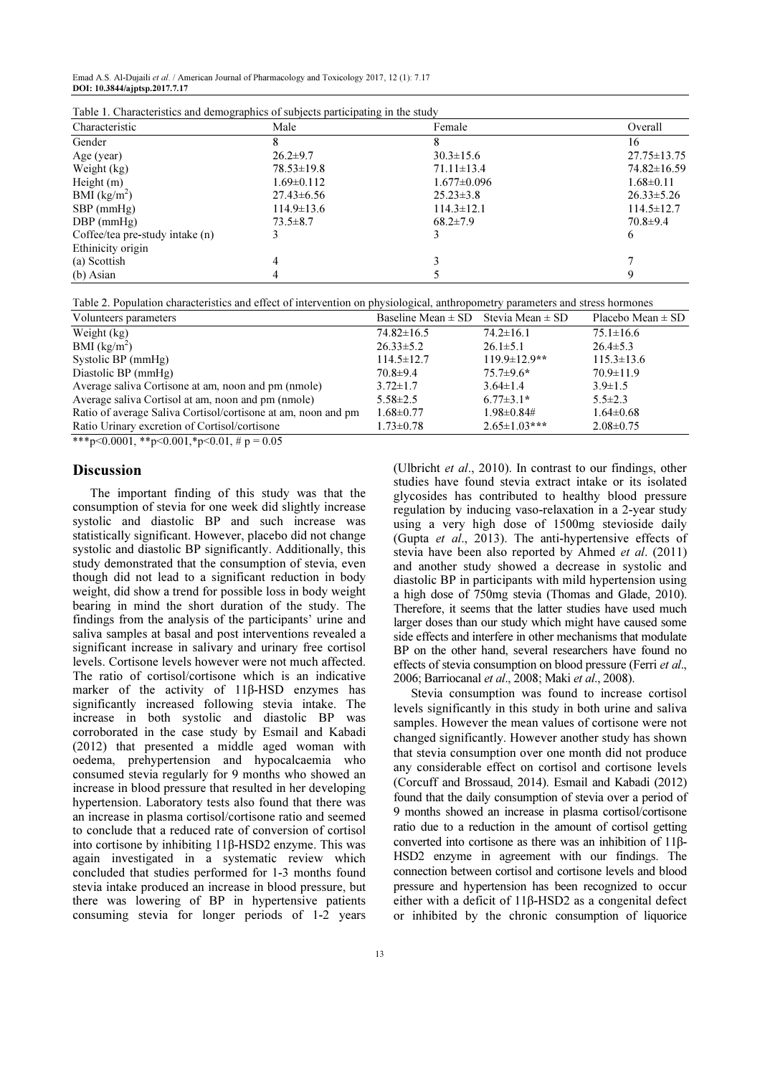Emad A.S. Al-Dujaili et al. / American Journal of Pharmacology and Toxicology 2017, 12 (1): 7.17 DOI: 10.3844/ajptsp.2017.7.17

| Characteristic                  | Male             | Female            | Overall           |
|---------------------------------|------------------|-------------------|-------------------|
| Gender                          |                  |                   | 16                |
| Age (year)                      | $26.2 \pm 9.7$   | $30.3 \pm 15.6$   | $27.75 \pm 13.75$ |
| Weight (kg)                     | $78.53 \pm 19.8$ | $71.11 \pm 13.4$  | $74.82 \pm 16.59$ |
| Height $(m)$                    | $1.69 \pm 0.112$ | $1.677 \pm 0.096$ | $1.68 \pm 0.11$   |
| BMI $(kg/m2)$                   | $27.43 \pm 6.56$ | $25.23 \pm 3.8$   | $26.33 \pm 5.26$  |
| $SBP$ (mmHg)                    | $114.9 \pm 13.6$ | $114.3 \pm 12.1$  | $114.5 \pm 12.7$  |
| $DBP$ (mmHg)                    | $73.5 \pm 8.7$   | $68.2 \pm 7.9$    | $70.8 \pm 9.4$    |
| Coffee/tea pre-study intake (n) |                  |                   | 6                 |
| Ethinicity origin               |                  |                   |                   |
| (a) Scottish                    | 4                |                   |                   |
| (b) Asian                       |                  |                   | 9                 |

Table 2. Population characteristics and effect of intervention on physiological, anthropometry parameters and stress hormones

| Volunteers parameters                                         | Baseline Mean $\pm$ SD | Stevia Mean $\pm$ SD | Placebo Mean $\pm$ SD |
|---------------------------------------------------------------|------------------------|----------------------|-----------------------|
| Weight (kg)                                                   | $74.82 \pm 16.5$       | $74.2 \pm 16.1$      | $75.1 \pm 16.6$       |
| $BMI$ (kg/m <sup>2</sup> )                                    | $26.33 \pm 5.2$        | $26.1 \pm 5.1$       | $26.4 \pm 5.3$        |
| Systolic BP (mmHg)                                            | $114.5 \pm 12.7$       | $119.9 \pm 12.9$ **  | $115.3 \pm 13.6$      |
| Diastolic BP (mmHg)                                           | $70.8 \pm 9.4$         | $75.7 \pm 9.6*$      | $70.9 \pm 11.9$       |
| Average saliva Cortisone at am, noon and pm (nmole)           | $3.72 \pm 1.7$         | $3.64 \pm 1.4$       | $3.9 \pm 1.5$         |
| Average saliva Cortisol at am, noon and pm (nmole)            | $5.58 \pm 2.5$         | $6.77 \pm 3.1*$      | $5.5 \pm 2.3$         |
| Ratio of average Saliva Cortisol/cortisone at am, noon and pm | $1.68 \pm 0.77$        | $1.98 \pm 0.84$ #    | $1.64 \pm 0.68$       |
| Ratio Urinary excretion of Cortisol/cortisone                 | $1.73 \pm 0.78$        | $2.65 \pm 1.03$ ***  | $2.08 \pm 0.75$       |
| $1.1.1$ 0.0001 11 0.001 1 0.01 1 0.07                         |                        |                      |                       |

\*\*\*p<0.0001, \*\*p<0.001, \*p<0.01, # p = 0.05

# **Discussion**

The important finding of this study was that the consumption of stevia for one week did slightly increase systolic and diastolic BP and such increase was statistically significant. However, placebo did not change systolic and diastolic BP significantly. Additionally, this study demonstrated that the consumption of stevia, even though did not lead to a significant reduction in body weight, did show a trend for possible loss in body weight bearing in mind the short duration of the study. The findings from the analysis of the participants' urine and saliva samples at basal and post interventions revealed a significant increase in salivary and urinary free cortisol levels. Cortisone levels however were not much affected. The ratio of cortisol/cortisone which is an indicative marker of the activity of 11β-HSD enzymes has significantly increased following stevia intake. The increase in both systolic and diastolic BP was corroborated in the case study by Esmail and Kabadi (2012) that presented a middle aged woman with oedema, prehypertension and hypocalcaemia who consumed stevia regularly for 9 months who showed an increase in blood pressure that resulted in her developing hypertension. Laboratory tests also found that there was an increase in plasma cortisol/cortisone ratio and seemed to conclude that a reduced rate of conversion of cortisol into cortisone by inhibiting 11β-HSD2 enzyme. This was again investigated in a systematic review which concluded that studies performed for 1-3 months found stevia intake produced an increase in blood pressure, but there was lowering of BP in hypertensive patients consuming stevia for longer periods of 1-2 years (Ulbricht et al., 2010). In contrast to our findings, other studies have found stevia extract intake or its isolated glycosides has contributed to healthy blood pressure regulation by inducing vaso-relaxation in a 2-year study using a very high dose of 1500mg stevioside daily (Gupta et al., 2013). The anti-hypertensive effects of stevia have been also reported by Ahmed et al. (2011) and another study showed a decrease in systolic and diastolic BP in participants with mild hypertension using a high dose of 750mg stevia (Thomas and Glade, 2010). Therefore, it seems that the latter studies have used much larger doses than our study which might have caused some side effects and interfere in other mechanisms that modulate BP on the other hand, several researchers have found no effects of stevia consumption on blood pressure (Ferri et al., 2006; Barriocanal et al., 2008; Maki et al., 2008).

Stevia consumption was found to increase cortisol levels significantly in this study in both urine and saliva samples. However the mean values of cortisone were not changed significantly. However another study has shown that stevia consumption over one month did not produce any considerable effect on cortisol and cortisone levels (Corcuff and Brossaud, 2014). Esmail and Kabadi (2012) found that the daily consumption of stevia over a period of 9 months showed an increase in plasma cortisol/cortisone ratio due to a reduction in the amount of cortisol getting converted into cortisone as there was an inhibition of 11β-HSD2 enzyme in agreement with our findings. The connection between cortisol and cortisone levels and blood pressure and hypertension has been recognized to occur either with a deficit of 11β-HSD2 as a congenital defect or inhibited by the chronic consumption of liquorice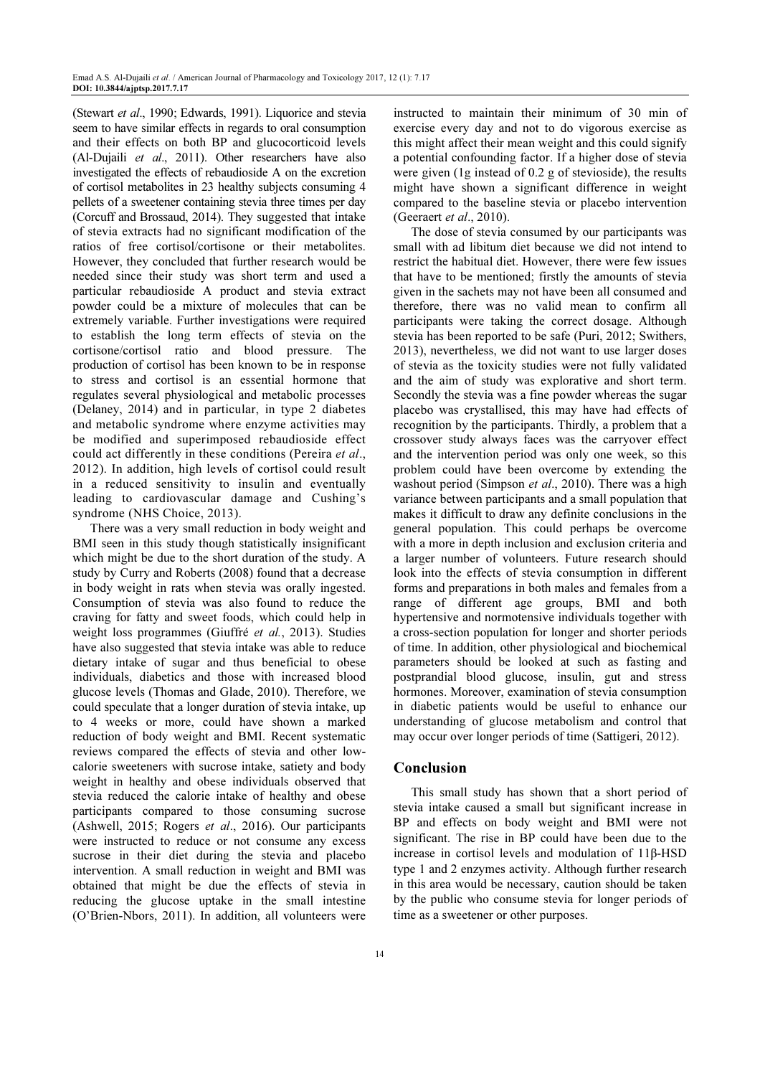(Stewart et al., 1990; Edwards, 1991). Liquorice and stevia seem to have similar effects in regards to oral consumption and their effects on both BP and glucocorticoid levels (Al-Dujaili et al., 2011). Other researchers have also investigated the effects of rebaudioside A on the excretion of cortisol metabolites in 23 healthy subjects consuming 4 pellets of a sweetener containing stevia three times per day (Corcuff and Brossaud, 2014). They suggested that intake of stevia extracts had no significant modification of the ratios of free cortisol/cortisone or their metabolites. However, they concluded that further research would be needed since their study was short term and used a particular rebaudioside A product and stevia extract powder could be a mixture of molecules that can be extremely variable. Further investigations were required to establish the long term effects of stevia on the cortisone/cortisol ratio and blood pressure. The production of cortisol has been known to be in response to stress and cortisol is an essential hormone that regulates several physiological and metabolic processes (Delaney, 2014) and in particular, in type 2 diabetes and metabolic syndrome where enzyme activities may be modified and superimposed rebaudioside effect could act differently in these conditions (Pereira et al., 2012). In addition, high levels of cortisol could result in a reduced sensitivity to insulin and eventually leading to cardiovascular damage and Cushing's syndrome (NHS Choice, 2013).

There was a very small reduction in body weight and BMI seen in this study though statistically insignificant which might be due to the short duration of the study. A study by Curry and Roberts (2008) found that a decrease in body weight in rats when stevia was orally ingested. Consumption of stevia was also found to reduce the craving for fatty and sweet foods, which could help in weight loss programmes (Giuffré et al., 2013). Studies have also suggested that stevia intake was able to reduce dietary intake of sugar and thus beneficial to obese individuals, diabetics and those with increased blood glucose levels (Thomas and Glade, 2010). Therefore, we could speculate that a longer duration of stevia intake, up to 4 weeks or more, could have shown a marked reduction of body weight and BMI. Recent systematic reviews compared the effects of stevia and other lowcalorie sweeteners with sucrose intake, satiety and body weight in healthy and obese individuals observed that stevia reduced the calorie intake of healthy and obese participants compared to those consuming sucrose (Ashwell, 2015; Rogers et al., 2016). Our participants were instructed to reduce or not consume any excess sucrose in their diet during the stevia and placebo intervention. A small reduction in weight and BMI was obtained that might be due the effects of stevia in reducing the glucose uptake in the small intestine (O'Brien-Nbors, 2011). In addition, all volunteers were

instructed to maintain their minimum of 30 min of exercise every day and not to do vigorous exercise as this might affect their mean weight and this could signify a potential confounding factor. If a higher dose of stevia were given (1g instead of 0.2 g of stevioside), the results might have shown a significant difference in weight compared to the baseline stevia or placebo intervention (Geeraert et al., 2010).

The dose of stevia consumed by our participants was small with ad libitum diet because we did not intend to restrict the habitual diet. However, there were few issues that have to be mentioned; firstly the amounts of stevia given in the sachets may not have been all consumed and therefore, there was no valid mean to confirm all participants were taking the correct dosage. Although stevia has been reported to be safe (Puri, 2012; Swithers, 2013), nevertheless, we did not want to use larger doses of stevia as the toxicity studies were not fully validated and the aim of study was explorative and short term. Secondly the stevia was a fine powder whereas the sugar placebo was crystallised, this may have had effects of recognition by the participants. Thirdly, a problem that a crossover study always faces was the carryover effect and the intervention period was only one week, so this problem could have been overcome by extending the washout period (Simpson et al., 2010). There was a high variance between participants and a small population that makes it difficult to draw any definite conclusions in the general population. This could perhaps be overcome with a more in depth inclusion and exclusion criteria and a larger number of volunteers. Future research should look into the effects of stevia consumption in different forms and preparations in both males and females from a range of different age groups, BMI and both hypertensive and normotensive individuals together with a cross-section population for longer and shorter periods of time. In addition, other physiological and biochemical parameters should be looked at such as fasting and postprandial blood glucose, insulin, gut and stress hormones. Moreover, examination of stevia consumption in diabetic patients would be useful to enhance our understanding of glucose metabolism and control that may occur over longer periods of time (Sattigeri, 2012).

#### Conclusion

This small study has shown that a short period of stevia intake caused a small but significant increase in BP and effects on body weight and BMI were not significant. The rise in BP could have been due to the increase in cortisol levels and modulation of 11β-HSD type 1 and 2 enzymes activity. Although further research in this area would be necessary, caution should be taken by the public who consume stevia for longer periods of time as a sweetener or other purposes.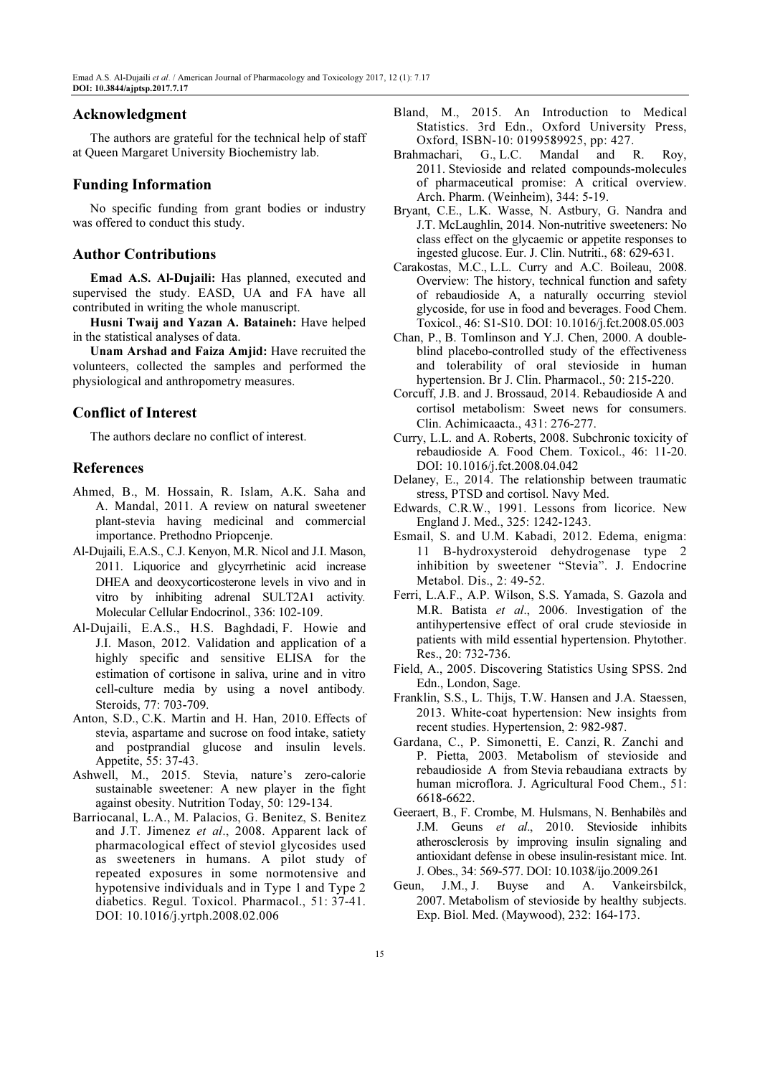# Acknowledgment

The authors are grateful for the technical help of staff at Queen Margaret University Biochemistry lab.

# Funding Information

No specific funding from grant bodies or industry was offered to conduct this study.

# Author Contributions

Emad A.S. Al-Dujaili: Has planned, executed and supervised the study. EASD, UA and FA have all contributed in writing the whole manuscript.

Husni Twaij and Yazan A. Bataineh: Have helped in the statistical analyses of data.

Unam Arshad and Faiza Amjid: Have recruited the volunteers, collected the samples and performed the physiological and anthropometry measures.

# Conflict of Interest

The authors declare no conflict of interest.

# References

- Ahmed, B., M. Hossain, R. Islam, A.K. Saha and A. Mandal, 2011. A review on natural sweetener plant-stevia having medicinal and commercial importance. Prethodno Priopcenje.
- Al-Dujaili, E.A.S., C.J. Kenyon, M.R. Nicol and J.I. Mason, 2011. Liquorice and glycyrrhetinic acid increase DHEA and deoxycorticosterone levels in vivo and in vitro by inhibiting adrenal SULT2A1 activity. Molecular Cellular Endocrinol., 336: 102-109.
- Al-Dujaili, E.A.S., H.S. Baghdadi, F. Howie and J.I. Mason, 2012. Validation and application of a highly specific and sensitive ELISA for the estimation of cortisone in saliva, urine and in vitro cell-culture media by using a novel antibody. Steroids, 77: 703-709.
- Anton, S.D., C.K. Martin and H. Han, 2010. Effects of stevia, aspartame and sucrose on food intake, satiety and postprandial glucose and insulin levels. Appetite, 55: 37-43.
- Ashwell, M., 2015. Stevia, nature's zero-calorie sustainable sweetener: A new player in the fight against obesity. Nutrition Today, 50: 129-134.
- Barriocanal, L.A., M. Palacios, G. Benitez, S. Benitez and J.T. Jimenez et al., 2008. Apparent lack of pharmacological effect of steviol glycosides used as sweeteners in humans. A pilot study of repeated exposures in some normotensive and hypotensive individuals and in Type 1 and Type 2 diabetics. Regul. Toxicol. Pharmacol., 51: 37-41. DOI: 10.1016/j.yrtph.2008.02.006
- Bland, M., 2015. An Introduction to Medical Statistics. 3rd Edn., Oxford University Press, Oxford, ISBN-10: 0199589925, pp: 427.
- Brahmachari, G., L.C. Mandal and R. Roy, 2011. Stevioside and related compounds-molecules of pharmaceutical promise: A critical overview. Arch. Pharm. (Weinheim), 344: 5-19.
- Bryant, C.E., L.K. Wasse, N. Astbury, G. Nandra and J.T. McLaughlin, 2014. Non-nutritive sweeteners: No class effect on the glycaemic or appetite responses to ingested glucose. Eur. J. Clin. Nutriti., 68: 629-631.
- Carakostas, M.C., L.L. Curry and A.C. Boileau, 2008. Overview: The history, technical function and safety of rebaudioside A, a naturally occurring steviol glycoside, for use in food and beverages. Food Chem. Toxicol., 46: S1-S10. DOI: 10.1016/j.fct.2008.05.003
- Chan, P., B. Tomlinson and Y.J. Chen, 2000. A doubleblind placebo-controlled study of the effectiveness and tolerability of oral stevioside in human hypertension. Br J. Clin. Pharmacol., 50: 215-220.
- Corcuff, J.B. and J. Brossaud, 2014. Rebaudioside A and cortisol metabolism: Sweet news for consumers. Clin. Achimicaacta., 431: 276-277.
- Curry, L.L. and A. Roberts, 2008. Subchronic toxicity of rebaudioside A. Food Chem. Toxicol., 46: 11-20. DOI: 10.1016/j.fct.2008.04.042
- Delaney, E., 2014. The relationship between traumatic stress, PTSD and cortisol. Navy Med.
- Edwards, C.R.W., 1991. Lessons from licorice. New England J. Med., 325: 1242-1243.
- Esmail, S. and U.M. Kabadi, 2012. Edema, enigma: 11 B-hydroxysteroid dehydrogenase type 2 inhibition by sweetener "Stevia". J. Endocrine Metabol. Dis., 2: 49-52.
- Ferri, L.A.F., A.P. Wilson, S.S. Yamada, S. Gazola and M.R. Batista et al., 2006. Investigation of the antihypertensive effect of oral crude stevioside in patients with mild essential hypertension. Phytother. Res., 20: 732-736.
- Field, A., 2005. Discovering Statistics Using SPSS. 2nd Edn., London, Sage.
- Franklin, S.S., L. Thijs, T.W. Hansen and J.A. Staessen, 2013. White-coat hypertension: New insights from recent studies. Hypertension, 2: 982-987.
- Gardana, C., P. Simonetti, E. Canzi, R. Zanchi and P. Pietta, 2003. Metabolism of stevioside and rebaudioside A from Stevia rebaudiana extracts by human microflora. J. Agricultural Food Chem., 51: 6618-6622.
- Geeraert, B., F. Crombe, M. Hulsmans, N. Benhabilès and J.M. Geuns et al., 2010. Stevioside inhibits atherosclerosis by improving insulin signaling and antioxidant defense in obese insulin-resistant mice. Int. J. Obes., 34: 569-577. DOI: 10.1038/ijo.2009.261
- Geun, J.M., J. Buyse and A. Vankeirsbilck, 2007. Metabolism of stevioside by healthy subjects. Exp. Biol. Med. (Maywood), 232: 164-173.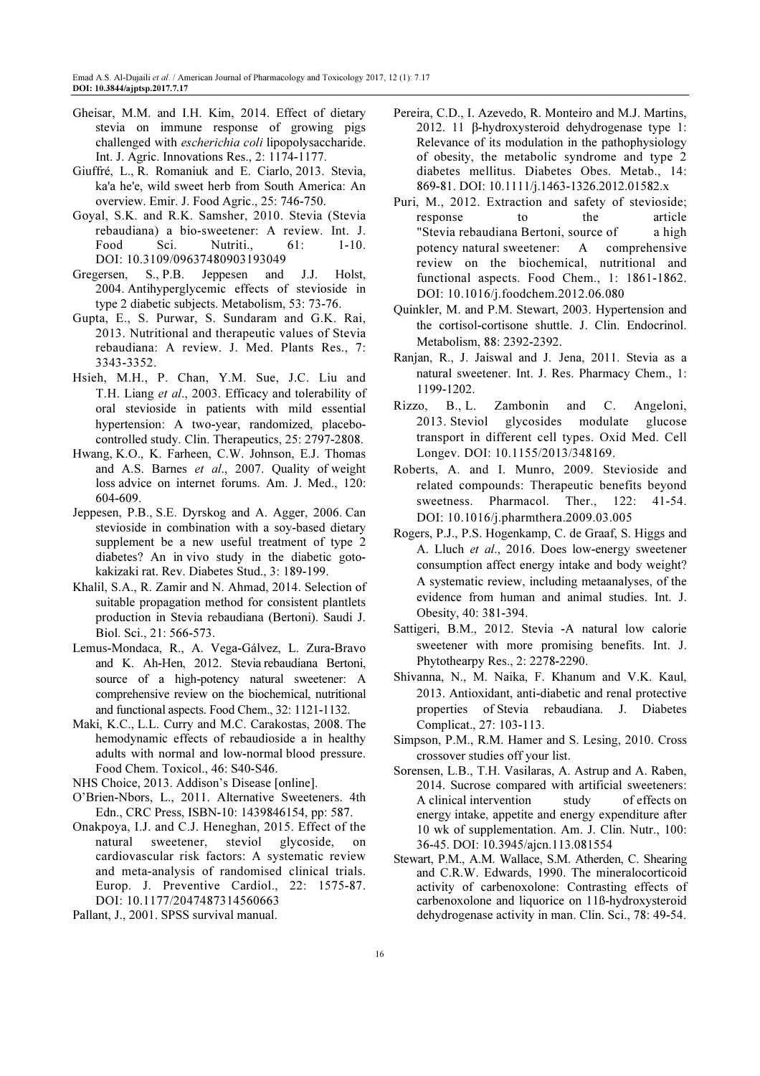- Gheisar, M.M. and I.H. Kim, 2014. Effect of dietary stevia on immune response of growing pigs challenged with escherichia coli lipopolysaccharide. Int. J. Agric. Innovations Res., 2: 1174-1177.
- Giuffré, L., R. Romaniuk and E. Ciarlo, 2013. Stevia, ka'a he'e, wild sweet herb from South America: An overview. Emir. J. Food Agric., 25: 746-750.
- Goyal, S.K. and R.K. Samsher, 2010. Stevia (Stevia rebaudiana) a bio-sweetener: A review. Int. J. Food Sci. Nutriti., 61: DOI: 10.3109/09637480903193049
- Gregersen, S., P.B. Jeppesen and J.J. Holst, 2004. Antihyperglycemic effects of stevioside in type 2 diabetic subjects. Metabolism, 53: 73-76.
- Gupta, E., S. Purwar, S. Sundaram and G.K. Rai, 2013. Nutritional and therapeutic values of Stevia rebaudiana: A review. J. Med. Plants Res., 7: 3343-3352.
- Hsieh, M.H., P. Chan, Y.M. Sue, J.C. Liu and T.H. Liang et al., 2003. Efficacy and tolerability of oral stevioside in patients with mild essential hypertension: A two-year, randomized, placebocontrolled study. Clin. Therapeutics, 25: 2797-2808.
- Hwang, K.O., K. Farheen, C.W. Johnson, E.J. Thomas and A.S. Barnes et al., 2007. Quality of weight loss advice on internet forums. Am. J. Med., 120: 604-609.
- Jeppesen, P.B., S.E. Dyrskog and A. Agger, 2006. Can stevioside in combination with a soy-based dietary supplement be a new useful treatment of type 2 diabetes? An in vivo study in the diabetic gotokakizaki rat. Rev. Diabetes Stud., 3: 189-199.
- Khalil, S.A., R. Zamir and N. Ahmad, 2014. Selection of suitable propagation method for consistent plantlets production in Stevia rebaudiana (Bertoni). Saudi J. Biol. Sci., 21: 566-573.
- Lemus-Mondaca, R., A. Vega-Gálvez, L. Zura-Bravo and K. Ah-Hen, 2012. Stevia rebaudiana Bertoni, source of a high-potency natural sweetener: A comprehensive review on the biochemical, nutritional and functional aspects. Food Chem., 32: 1121-1132.
- Maki, K.C., L.L. Curry and M.C. Carakostas, 2008. The hemodynamic effects of rebaudioside a in healthy adults with normal and low-normal blood pressure. Food Chem. Toxicol., 46: S40-S46.

NHS Choice, 2013. Addison's Disease [online].

- O'Brien-Nbors, L., 2011. Alternative Sweeteners. 4th Edn., CRC Press, ISBN-10: 1439846154, pp: 587.
- Onakpoya, I.J. and C.J. Heneghan, 2015. Effect of the natural sweetener, steviol glycoside, on cardiovascular risk factors: A systematic review and meta-analysis of randomised clinical trials. Europ. J. Preventive Cardiol., 22: 1575-87. DOI: 10.1177/2047487314560663
- Pallant, J., 2001. SPSS survival manual.
- Pereira, C.D., I. Azevedo, R. Monteiro and M.J. Martins, 2012. 11 β-hydroxysteroid dehydrogenase type 1: Relevance of its modulation in the pathophysiology of obesity, the metabolic syndrome and type 2 diabetes mellitus. Diabetes Obes. Metab., 14: 869-81. DOI: 10.1111/j.1463-1326.2012.01582.x
- Puri, M., 2012. Extraction and safety of stevioside; response to the article "Stevia rebaudiana Bertoni, source of a high potency natural sweetener: A comprehensive review on the biochemical, nutritional and functional aspects. Food Chem., 1: 1861-1862. DOI: 10.1016/j.foodchem.2012.06.080
- Quinkler, M. and P.M. Stewart, 2003. Hypertension and the cortisol-cortisone shuttle. J. Clin. Endocrinol. Metabolism, 88: 2392-2392.
- Ranjan, R., J. Jaiswal and J. Jena, 2011. Stevia as a natural sweetener. Int. J. Res. Pharmacy Chem., 1: 1199-1202.
- Rizzo, B., L. Zambonin and C. Angeloni, 2013. Steviol glycosides modulate glucose transport in different cell types. Oxid Med. Cell Longev. DOI: 10.1155/2013/348169.
- Roberts, A. and I. Munro, 2009. Stevioside and related compounds: Therapeutic benefits beyond sweetness. Pharmacol. Ther., 122: 41-54. DOI: 10.1016/j.pharmthera.2009.03.005
- Rogers, P.J., P.S. Hogenkamp, C. de Graaf, S. Higgs and A. Lluch et al., 2016. Does low-energy sweetener consumption affect energy intake and body weight? A systematic review, including metaanalyses, of the evidence from human and animal studies. Int. J. Obesity, 40: 381-394.
- Sattigeri, B.M., 2012. Stevia -A natural low calorie sweetener with more promising benefits. Int. J. Phytothearpy Res., 2: 2278-2290.
- Shivanna, N., M. Naika, F. Khanum and V.K. Kaul, 2013. Antioxidant, anti-diabetic and renal protective properties of Stevia rebaudiana. J. Diabetes Complicat., 27: 103-113.
- Simpson, P.M., R.M. Hamer and S. Lesing, 2010. Cross crossover studies off your list.
- Sorensen, L.B., T.H. Vasilaras, A. Astrup and A. Raben, 2014. Sucrose compared with artificial sweeteners: A clinical intervention study of effects on energy intake, appetite and energy expenditure after 10 wk of supplementation. Am. J. Clin. Nutr., 100: 36-45. DOI: 10.3945/ajcn.113.081554
- Stewart, P.M., A.M. Wallace, S.M. Atherden, C. Shearing and C.R.W. Edwards, 1990. The mineralocorticoid activity of carbenoxolone: Contrasting effects of carbenoxolone and liquorice on 11ß-hydroxysteroid dehydrogenase activity in man. Clin. Sci., 78: 49-54.